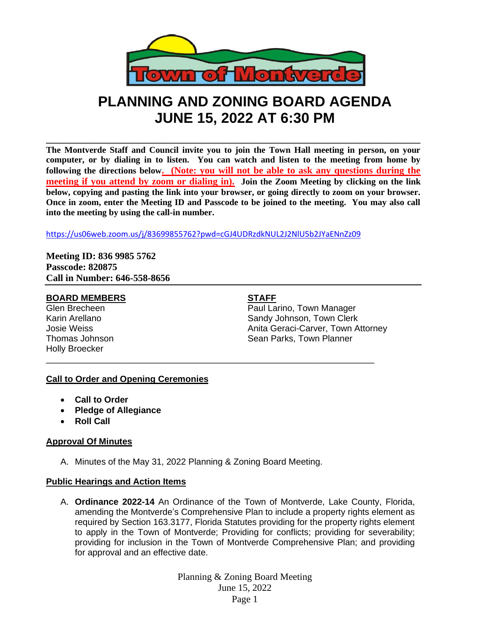

# **PLANNING AND ZONING BOARD AGENDA JUNE 15, 2022 AT 6:30 PM**

**The Montverde Staff and Council invite you to join the Town Hall meeting in person, on your computer, or by dialing in to listen. You can watch and listen to the meeting from home by following the directions below. (Note: you will not be able to ask any questions during the meeting if you attend by zoom or dialing in). Join the Zoom Meeting by clicking on the link below, copying and pasting the link into your browser, or going directly to zoom on your browser. Once in zoom, enter the Meeting ID and Passcode to be joined to the meeting. You may also call into the meeting by using the call-in number.**

**\_\_\_\_\_\_\_\_\_\_\_\_\_\_\_\_\_\_\_\_\_\_\_\_\_\_\_\_\_\_\_\_\_\_\_\_\_\_\_\_\_\_\_\_\_\_\_\_\_\_\_\_\_\_\_\_\_\_\_\_\_\_\_\_\_\_\_\_\_\_\_\_\_\_\_\_\_\_**

<https://us06web.zoom.us/j/83699855762?pwd=cGJ4UDRzdkNUL2J2NlU5b2JYaENnZz09>

\_\_\_\_\_\_\_\_\_\_\_\_\_\_\_\_\_\_\_\_\_\_\_\_\_\_\_\_\_\_\_\_\_\_\_\_\_\_\_\_\_\_\_\_\_\_\_\_\_\_\_\_\_\_\_\_\_\_\_\_\_\_\_\_\_\_\_

**Meeting ID: 836 9985 5762 Passcode: 820875 Call in Number: 646-558-8656**

#### **BOARD MEMBERS STAFF**

Holly Broecker

**Glen Brecheen Paul Larino, Town Manager** Karin Arellano **Sandy Johnson, Town Clerk** Sandy Johnson, Town Clerk Josie Weiss Anita Geraci-Carver, Town Attorney Thomas Johnson **Sean Parks**, Town Planner

## **Call to Order and Opening Ceremonies**

- **Call to Order**
- **Pledge of Allegiance**
- **Roll Call**

## **Approval Of Minutes**

A. Minutes of the May 31, 2022 Planning & Zoning Board Meeting.

## **Public Hearings and Action Items**

A. **Ordinance 2022-14** An Ordinance of the Town of Montverde, Lake County, Florida, amending the Montverde's Comprehensive Plan to include a property rights element as required by Section 163.3177, Florida Statutes providing for the property rights element to apply in the Town of Montverde; Providing for conflicts; providing for severability; providing for inclusion in the Town of Montverde Comprehensive Plan; and providing for approval and an effective date.

> Planning & Zoning Board Meeting June 15, 2022 Page 1